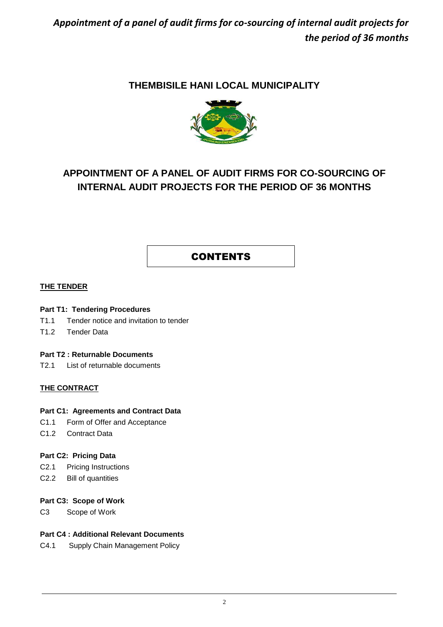### **THEMBISILE HANI LOCAL MUNICIPALITY**



## **APPOINTMENT OF A PANEL OF AUDIT FIRMS FOR CO-SOURCING OF INTERNAL AUDIT PROJECTS FOR THE PERIOD OF 36 MONTHS**

### **CONTENTS**

#### **THE TENDER**

#### **Part T1: Tendering Procedures**

- T1.1 Tender notice and invitation to tender
- T1.2 Tender Data

#### **Part T2 : Returnable Documents**

T2.1 List of returnable documents

### **THE CONTRACT**

#### **Part C1: Agreements and Contract Data**

- C1.1 Form of Offer and Acceptance
- C1.2 Contract Data

#### **Part C2: Pricing Data**

- C2.1 Pricing Instructions
- C2.2 Bill of quantities

#### **Part C3: Scope of Work**

C3 Scope of Work

### **Part C4 : Additional Relevant Documents**

C4.1 Supply Chain Management Policy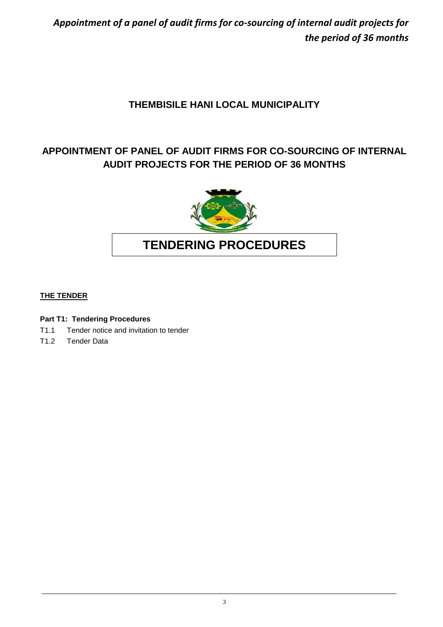## **THEMBISILE HANI LOCAL MUNICIPALITY**

## **APPOINTMENT OF PANEL OF AUDIT FIRMS FOR CO-SOURCING OF INTERNAL AUDIT PROJECTS FOR THE PERIOD OF 36 MONTHS**



# **TENDERING PROCEDURES**

### **THE TENDER**

### **Part T1: Tendering Procedures**

- T1.1 Tender notice and invitation to tender
- T1.2 Tender Data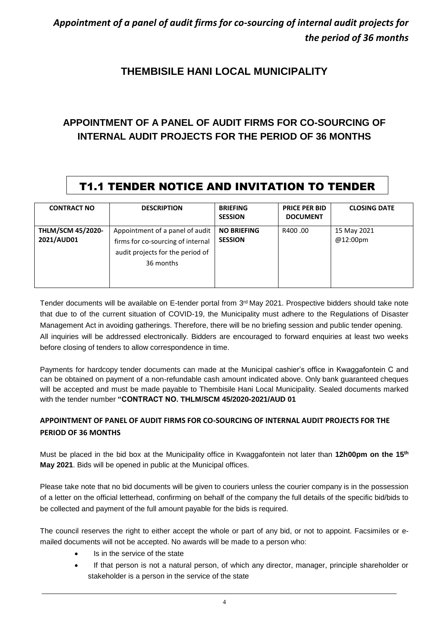### **THEMBISILE HANI LOCAL MUNICIPALITY**

## **APPOINTMENT OF A PANEL OF AUDIT FIRMS FOR CO-SOURCING OF INTERNAL AUDIT PROJECTS FOR THE PERIOD OF 36 MONTHS**

# T1.1 TENDER NOTICE AND INVITATION TO TENDER

| <b>CONTRACT NO</b>                     | <b>DESCRIPTION</b>                                                                                                    | <b>BRIEFING</b><br><b>SESSION</b>    | <b>PRICE PER BID</b><br><b>DOCUMENT</b> | <b>CLOSING DATE</b>     |
|----------------------------------------|-----------------------------------------------------------------------------------------------------------------------|--------------------------------------|-----------------------------------------|-------------------------|
| <b>THLM/SCM 45/2020-</b><br>2021/AUD01 | Appointment of a panel of audit<br>firms for co-sourcing of internal<br>audit projects for the period of<br>36 months | <b>NO BRIEFING</b><br><b>SESSION</b> | R400.00                                 | 15 May 2021<br>@12:00pm |

Tender documents will be available on E-tender portal from 3<sup>rd</sup> May 2021. Prospective bidders should take note that due to of the current situation of COVID-19, the Municipality must adhere to the Regulations of Disaster Management Act in avoiding gatherings. Therefore, there will be no briefing session and public tender opening. All inquiries will be addressed electronically. Bidders are encouraged to forward enquiries at least two weeks before closing of tenders to allow correspondence in time.

Payments for hardcopy tender documents can made at the Municipal cashier's office in Kwaggafontein C and can be obtained on payment of a non-refundable cash amount indicated above. Only bank guaranteed cheques will be accepted and must be made payable to Thembisile Hani Local Municipality. Sealed documents marked with the tender number **"CONTRACT NO. THLM/SCM 45/2020-2021/AUD 01** 

### **APPOINTMENT OF PANEL OF AUDIT FIRMS FOR CO-SOURCING OF INTERNAL AUDIT PROJECTS FOR THE PERIOD OF 36 MONTHS**

Must be placed in the bid box at the Municipality office in Kwaggafontein not later than 12h00pm on the 15<sup>th</sup> **May 2021**. Bids will be opened in public at the Municipal offices.

Please take note that no bid documents will be given to couriers unless the courier company is in the possession of a letter on the official letterhead, confirming on behalf of the company the full details of the specific bid/bids to be collected and payment of the full amount payable for the bids is required.

The council reserves the right to either accept the whole or part of any bid, or not to appoint. Facsimiles or emailed documents will not be accepted. No awards will be made to a person who:

- Is in the service of the state
- If that person is not a natural person, of which any director, manager, principle shareholder or stakeholder is a person in the service of the state